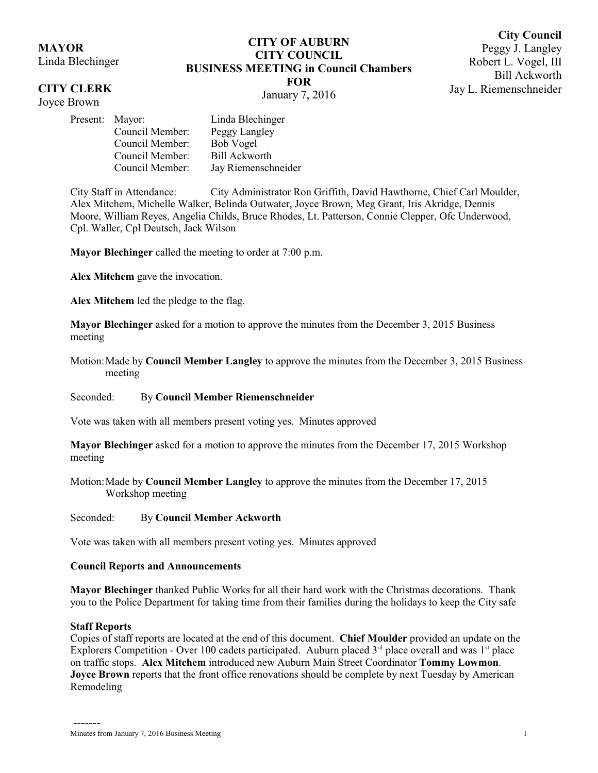## **MAYOR**

Linda Blechinger

## **CITY CLERK**

Joyce Brown

# **CITY OF AUBURN CITY COUNCIL BUSINESS MEETING in Council Chambers FOR**

**City Council** Peggy J. Langley Robert L. Vogel, III Bill Ackworth Jay L. Riemenschneider

January 7, 2016

| Present: Mayor: |                 | Linda Blechinger     |
|-----------------|-----------------|----------------------|
|                 | Council Member: | Peggy Langley        |
|                 | Council Member: | <b>Bob Vogel</b>     |
|                 | Council Member: | <b>Bill Ackworth</b> |
|                 | Council Member: | Jay Riemenschneider  |

City Staff in Attendance: City Administrator Ron Griffith, David Hawthorne, Chief Carl Moulder, Alex Mitchem, Michelle Walker, Belinda Outwater, Joyce Brown, Meg Grant, Iris Akridge, Dennis Moore, William Reyes, Angelia Childs, Bruce Rhodes, Lt. Patterson, Connie Clepper, Ofc Underwood, Cpl. Waller, Cpl Deutsch, Jack Wilson

**Mayor Blechinger** called the meeting to order at 7:00 p.m.

**Alex Mitchem** gave the invocation.

**Alex Mitchem** led the pledge to the flag.

**Mayor Blechinger** asked for a motion to approve the minutes from the December 3, 2015 Business meeting

Motion:Made by **Council Member Langley** to approve the minutes from the December 3, 2015 Business meeting

## Seconded: By **Council Member Riemenschneider**

Vote was taken with all members present voting yes. Minutes approved

**Mayor Blechinger** asked for a motion to approve the minutes from the December 17, 2015 Workshop meeting

Motion:Made by **Council Member Langley** to approve the minutes from the December 17, 2015 Workshop meeting

#### Seconded: By **Council Member Ackworth**

Vote was taken with all members present voting yes. Minutes approved

## **Council Reports and Announcements**

**Mayor Blechinger** thanked Public Works for all their hard work with the Christmas decorations. Thank you to the Police Department for taking time from their families during the holidays to keep the City safe

## **Staff Reports**

Copies of staff reports are located at the end of this document. **Chief Moulder** provided an update on the Explorers Competition - Over 100 cadets participated. Auburn placed  $3<sup>rd</sup>$  place overall and was  $1<sup>st</sup>$  place on traffic stops. **Alex Mitchem** introduced new Auburn Main Street Coordinator **Tommy Lowmon**. **Joyce Brown** reports that the front office renovations should be complete by next Tuesday by American Remodeling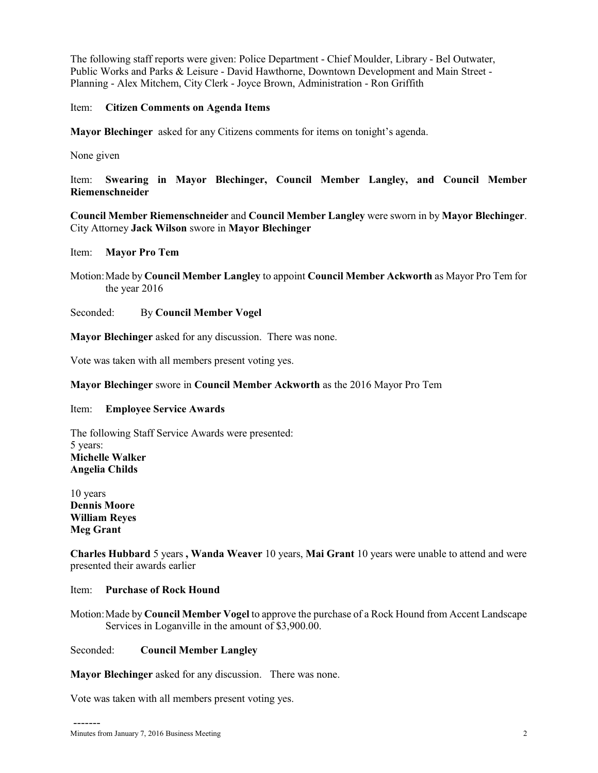The following staff reports were given: Police Department - Chief Moulder, Library - Bel Outwater, Public Works and Parks & Leisure - David Hawthorne, Downtown Development and Main Street - Planning - Alex Mitchem, City Clerk - Joyce Brown, Administration - Ron Griffith

### Item: **Citizen Comments on Agenda Items**

**Mayor Blechinger** asked for any Citizens comments for items on tonight's agenda.

None given

Item: **Swearing in Mayor Blechinger, Council Member Langley, and Council Member Riemenschneider**

**Council Member Riemenschneider** and **Council Member Langley** were sworn in by **Mayor Blechinger**. City Attorney **Jack Wilson** swore in **Mayor Blechinger**

Item: **Mayor Pro Tem**

Motion:Made by **Council Member Langley** to appoint **Council Member Ackworth** as Mayor Pro Tem for the year 2016

Seconded: By **Council Member Vogel**

**Mayor Blechinger** asked for any discussion. There was none.

Vote was taken with all members present voting yes.

### **Mayor Blechinger** swore in **Council Member Ackworth** as the 2016 Mayor Pro Tem

#### Item: **Employee Service Awards**

The following Staff Service Awards were presented: 5 years: **Michelle Walker Angelia Childs**

10 years **Dennis Moore William Reyes Meg Grant**

-------

**Charles Hubbard** 5 years **, Wanda Weaver** 10 years, **Mai Grant** 10 years were unable to attend and were presented their awards earlier

## Item: **Purchase of Rock Hound**

Motion:Made by **Council Member Vogel** to approve the purchase of a Rock Hound from Accent Landscape Services in Loganville in the amount of \$3,900.00.

## Seconded: **Council Member Langley**

**Mayor Blechinger** asked for any discussion. There was none.

Vote was taken with all members present voting yes.